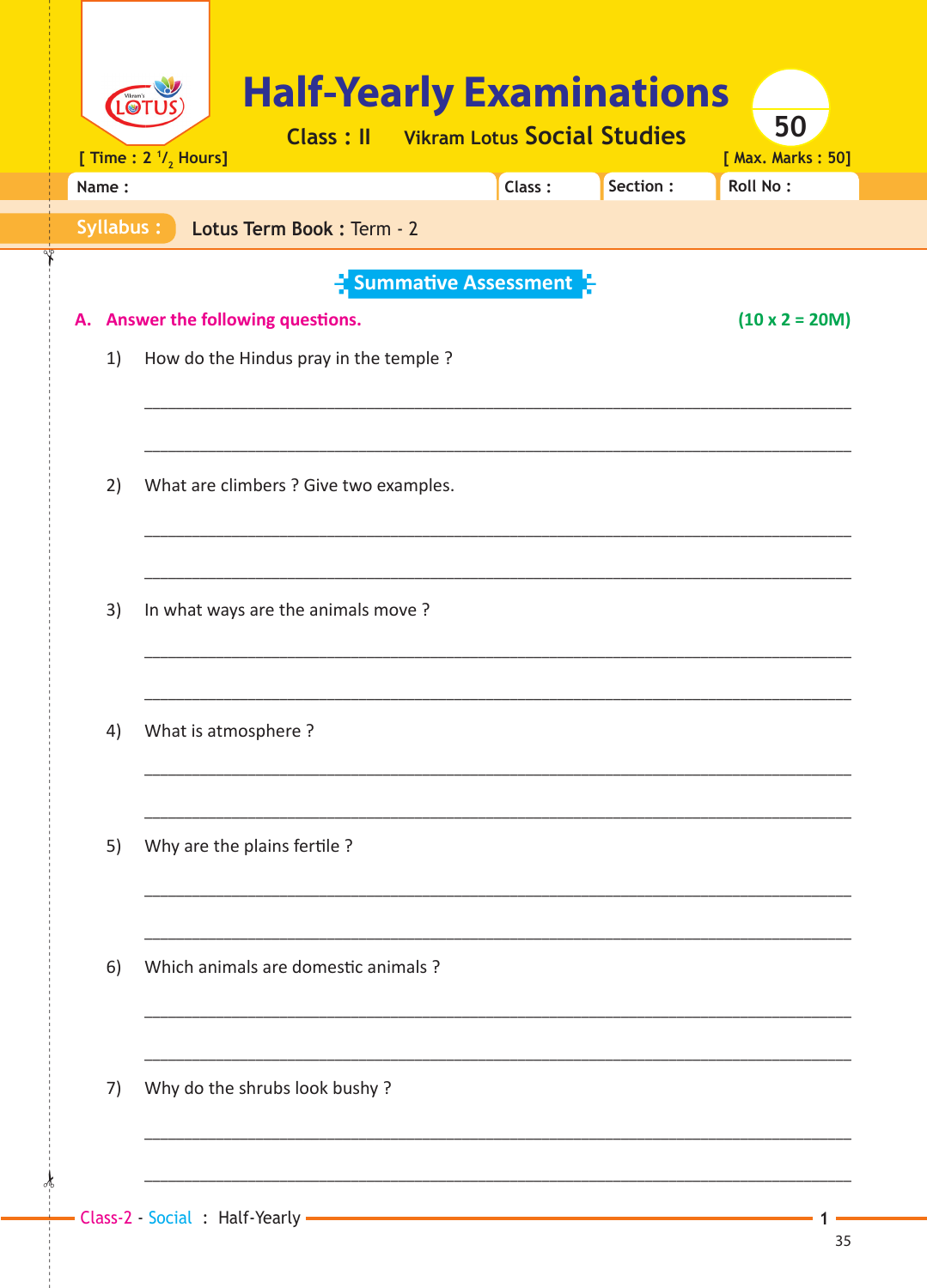| <b>LOT</b> | [ Time : $2 \frac{1}{2}$ Hours] | <b>Half-Yearly Examinations</b>        |                             |        | <b>Class: Il</b> Vikram Lotus Social Studies | 50<br>[ Max. Marks: 50] |
|------------|---------------------------------|----------------------------------------|-----------------------------|--------|----------------------------------------------|-------------------------|
| Name:      |                                 |                                        |                             | Class: | Section:                                     | <b>Roll No:</b>         |
| Syllabus:  |                                 | Lotus Term Book : Term - 2             |                             |        |                                              |                         |
|            |                                 |                                        | <b>Summative Assessment</b> |        |                                              |                         |
| А.         |                                 | Answer the following questions.        |                             |        |                                              | $(10 \times 2 = 20M)$   |
| 1)         |                                 | How do the Hindus pray in the temple ? |                             |        |                                              |                         |
|            |                                 |                                        |                             |        |                                              |                         |
|            |                                 |                                        |                             |        |                                              |                         |
| 2)         |                                 | What are climbers ? Give two examples. |                             |        |                                              |                         |
|            |                                 |                                        |                             |        |                                              |                         |
|            |                                 |                                        |                             |        |                                              |                         |
| 3)         |                                 | In what ways are the animals move?     |                             |        |                                              |                         |
|            |                                 |                                        |                             |        |                                              |                         |
|            |                                 |                                        |                             |        |                                              |                         |
| 4)         | What is atmosphere?             |                                        |                             |        |                                              |                         |
|            |                                 |                                        |                             |        |                                              |                         |
| 5)         |                                 | Why are the plains fertile?            |                             |        |                                              |                         |
|            |                                 |                                        |                             |        |                                              |                         |
|            |                                 |                                        |                             |        |                                              |                         |
| 6)         |                                 | Which animals are domestic animals ?   |                             |        |                                              |                         |
|            |                                 |                                        |                             |        |                                              |                         |
|            |                                 |                                        |                             |        |                                              |                         |
| 7)         |                                 | Why do the shrubs look bushy?          |                             |        |                                              |                         |
|            |                                 |                                        |                             |        |                                              |                         |
|            |                                 |                                        |                             |        |                                              |                         |

 $\frac{1}{2}$ 

1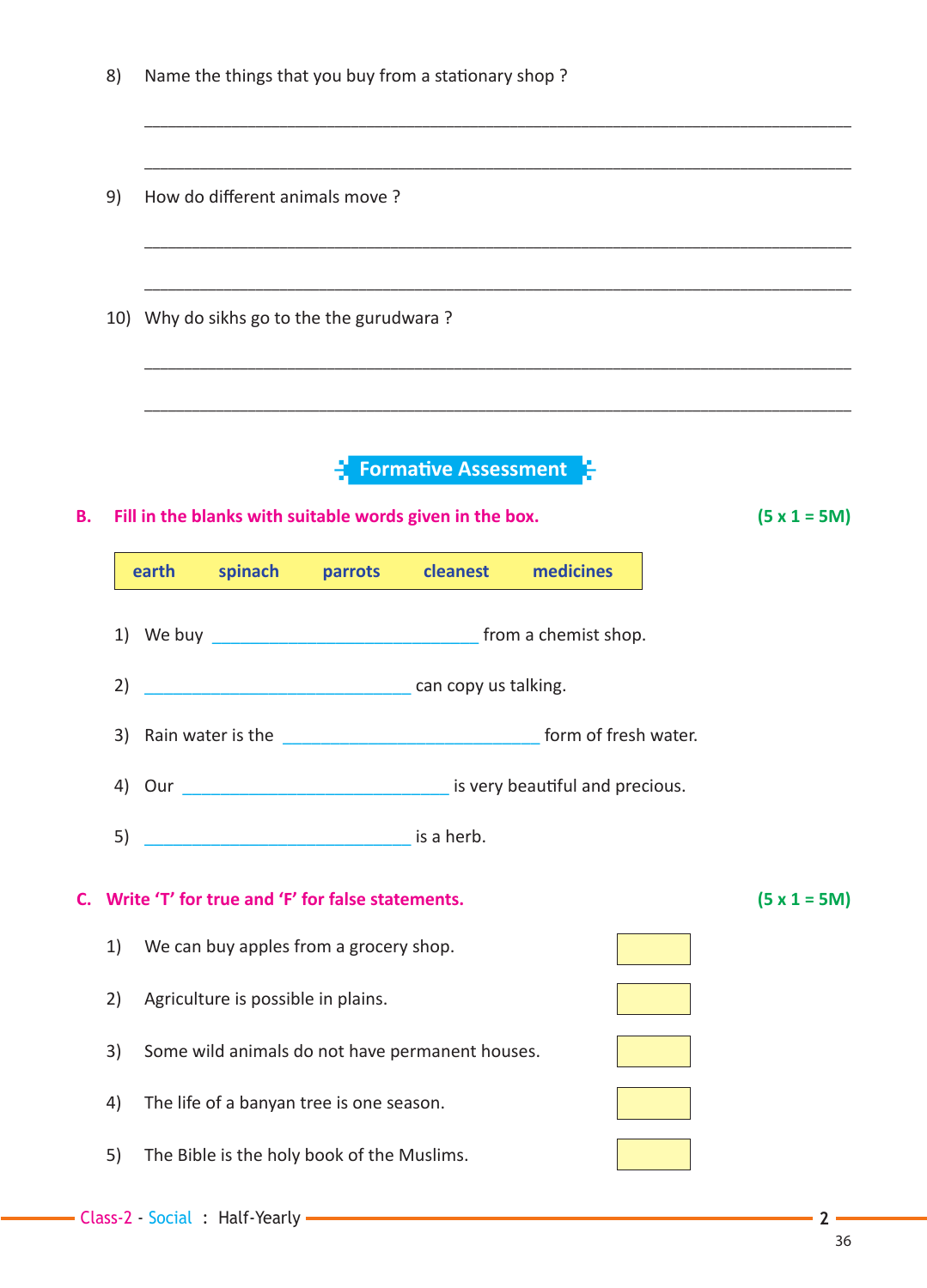|                             | 8)<br>Name the things that you buy from a stationary shop? |                                                                                                                                                                                                                                      |                |  |  |  |  |  |  |  |
|-----------------------------|------------------------------------------------------------|--------------------------------------------------------------------------------------------------------------------------------------------------------------------------------------------------------------------------------------|----------------|--|--|--|--|--|--|--|
|                             | 9)                                                         | How do different animals move?<br>,我们的人们就会在这里的人们,我们的人们就会在这里,我们的人们就会在这里,我们的人们就会在这里,我们的人们就会在这里,我们的人们就会在这里,我们的人们就会在这里                                                                                                                   |                |  |  |  |  |  |  |  |
|                             | 10) Why do sikhs go to the the gurudwara?                  |                                                                                                                                                                                                                                      |                |  |  |  |  |  |  |  |
| <b>Formative Assessment</b> |                                                            |                                                                                                                                                                                                                                      |                |  |  |  |  |  |  |  |
| Β.                          |                                                            | Fill in the blanks with suitable words given in the box.                                                                                                                                                                             | $(5 x 1 = 5M)$ |  |  |  |  |  |  |  |
|                             |                                                            | spinach parrots cleanest<br>medicines<br>earth                                                                                                                                                                                       |                |  |  |  |  |  |  |  |
|                             |                                                            |                                                                                                                                                                                                                                      |                |  |  |  |  |  |  |  |
|                             | can copy us talking.<br>2)                                 |                                                                                                                                                                                                                                      |                |  |  |  |  |  |  |  |
|                             | 3)                                                         | Rain water is the <b>contract the contract of the set of the set of the set of the set of the set of the set of the set of the set of the set of the set of the set of the set of the set of the set of the set of the set of th</b> |                |  |  |  |  |  |  |  |
|                             | 4)                                                         | is very beautiful and precious.<br>Our                                                                                                                                                                                               |                |  |  |  |  |  |  |  |
|                             | 5)                                                         |                                                                                                                                                                                                                                      |                |  |  |  |  |  |  |  |
|                             |                                                            | C. Write 'T' for true and 'F' for false statements.                                                                                                                                                                                  | $(5 x 1 = 5M)$ |  |  |  |  |  |  |  |
|                             | 1)                                                         | We can buy apples from a grocery shop.                                                                                                                                                                                               |                |  |  |  |  |  |  |  |
|                             | 2)                                                         | Agriculture is possible in plains.                                                                                                                                                                                                   |                |  |  |  |  |  |  |  |
|                             | 3)                                                         | Some wild animals do not have permanent houses.                                                                                                                                                                                      |                |  |  |  |  |  |  |  |
|                             | 4)                                                         | The life of a banyan tree is one season.                                                                                                                                                                                             |                |  |  |  |  |  |  |  |
|                             | 5)                                                         | The Bible is the holy book of the Muslims.                                                                                                                                                                                           |                |  |  |  |  |  |  |  |

 $-2-$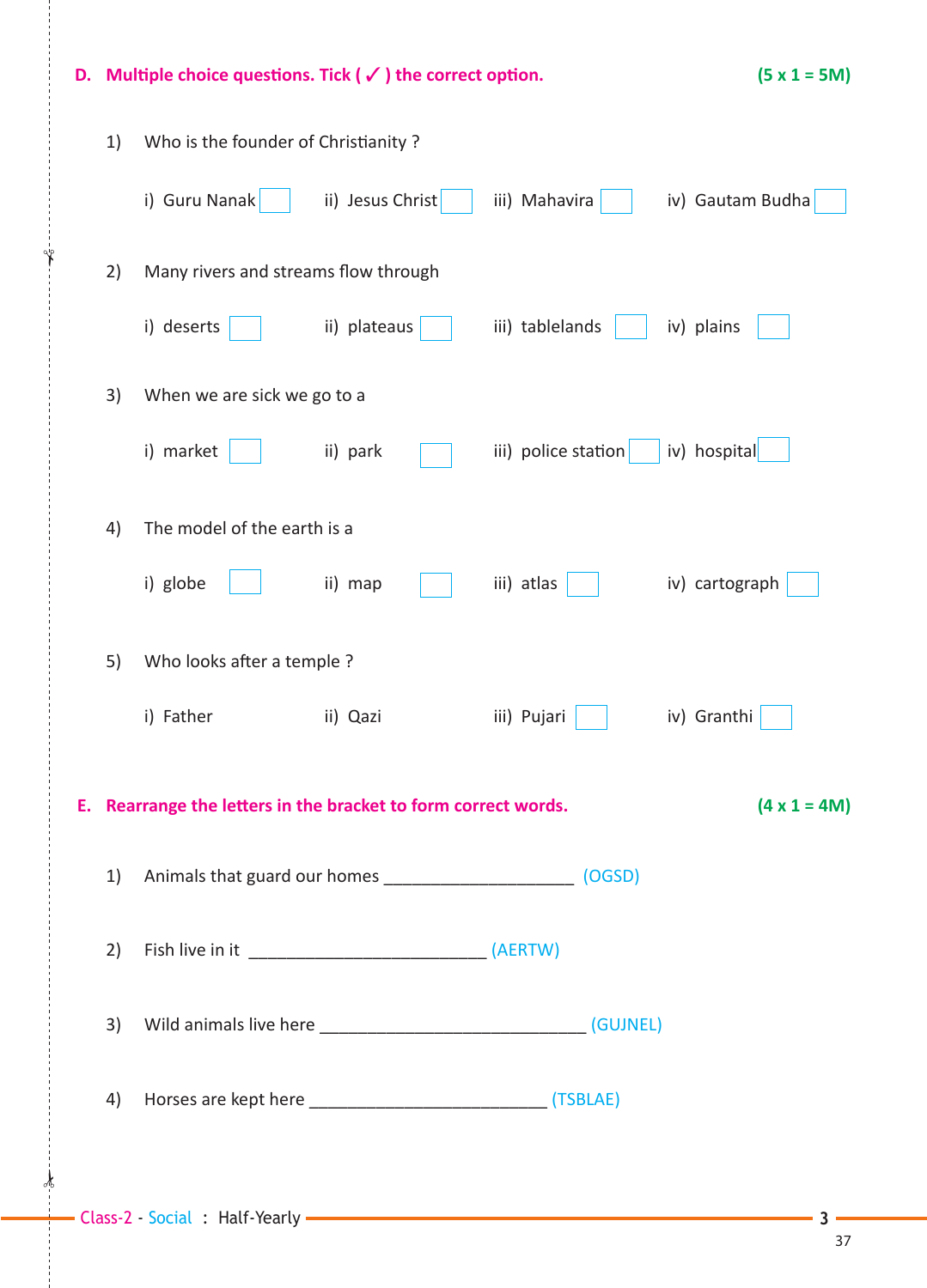| D. |    | Multiple choice questions. Tick ( $\checkmark$ ) the correct option.                  |                  | $(5 x 1 = 5M)$      |                  |  |  |  |
|----|----|---------------------------------------------------------------------------------------|------------------|---------------------|------------------|--|--|--|
|    | 1) | Who is the founder of Christianity?                                                   |                  |                     |                  |  |  |  |
|    |    | i) Guru Nanak                                                                         | ii) Jesus Christ | iii) Mahavira       | iv) Gautam Budha |  |  |  |
|    | 2) | Many rivers and streams flow through                                                  |                  |                     |                  |  |  |  |
|    |    | i) deserts                                                                            | ii) plateaus     | iii) tablelands     | iv) plains       |  |  |  |
|    | 3) | When we are sick we go to a                                                           |                  |                     |                  |  |  |  |
|    |    | i) market                                                                             | ii) park         | iii) police station | iv) hospital     |  |  |  |
|    | 4) | The model of the earth is a                                                           |                  |                     |                  |  |  |  |
|    |    | i) globe                                                                              | ii) map          | iii) atlas          | iv) cartograph   |  |  |  |
|    | 5) | Who looks after a temple ?                                                            |                  |                     |                  |  |  |  |
|    |    | i) Father                                                                             | ii) Qazi         | iii) Pujari         | iv) Granthi      |  |  |  |
|    |    | E. Rearrange the letters in the bracket to form correct words.<br>$(4 \times 1 = 4M)$ |                  |                     |                  |  |  |  |
|    | 1) | Animals that guard our homes ________________________________ (OGSD)                  |                  |                     |                  |  |  |  |
|    | 2) |                                                                                       |                  |                     |                  |  |  |  |
|    | 3) |                                                                                       |                  |                     |                  |  |  |  |
|    | 4) |                                                                                       |                  |                     |                  |  |  |  |
|    |    |                                                                                       |                  |                     |                  |  |  |  |

 $\frac{1}{2}$ 

✁